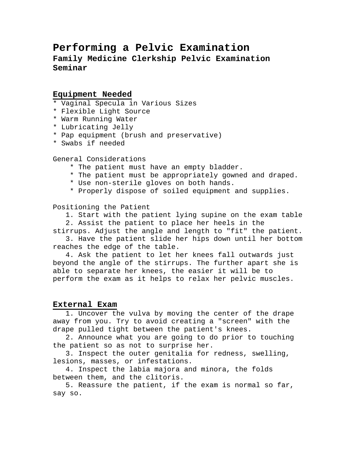# **Performing a Pelvic Examination Family Medicine Clerkship Pelvic Examination Seminar**

# **Equipment Needed**

- \* Vaginal Specula in Various Sizes
- \* Flexible Light Source
- \* Warm Running Water
- \* Lubricating Jelly
- \* Pap equipment (brush and preservative)
- \* Swabs if needed

General Considerations

- \* The patient must have an empty bladder.
- \* The patient must be appropriately gowned and draped.
- \* Use non-sterile gloves on both hands.
- \* Properly dispose of soiled equipment and supplies.

Positioning the Patient

 1. Start with the patient lying supine on the exam table 2. Assist the patient to place her heels in the

stirrups. Adjust the angle and length to "fit" the patient. 3. Have the patient slide her hips down until her bottom

reaches the edge of the table.

 4. Ask the patient to let her knees fall outwards just beyond the angle of the stirrups. The further apart she is able to separate her knees, the easier it will be to perform the exam as it helps to relax her pelvic muscles.

# **External Exam**

 1. Uncover the vulva by moving the center of the drape away from you. Try to avoid creating a "screen" with the drape pulled tight between the patient's knees.

 2. Announce what you are going to do prior to touching the patient so as not to surprise her.

 3. Inspect the outer genitalia for redness, swelling, lesions, masses, or infestations.

 4. Inspect the labia majora and minora, the folds between them, and the clitoris.

 5. Reassure the patient, if the exam is normal so far, say so.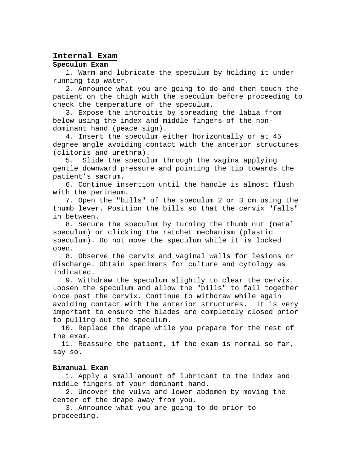### **Internal Exam**

# **Speculum Exam**

 1. Warm and lubricate the speculum by holding it under running tap water.

 2. Announce what you are going to do and then touch the patient on the thigh with the speculum before proceeding to check the temperature of the speculum.

 3. Expose the introitis by spreading the labia from below using the index and middle fingers of the nondominant hand (peace sign).

 4. Insert the speculum either horizontally or at 45 degree angle avoiding contact with the anterior structures (clitoris and urethra).

 5. Slide the speculum through the vagina applying gentle downward pressure and pointing the tip towards the patient's sacrum.

 6. Continue insertion until the handle is almost flush with the perineum.

 7. Open the "bills" of the speculum 2 or 3 cm using the thumb lever. Position the bills so that the cervix "falls" in between.

 8. Secure the speculum by turning the thumb nut (metal speculum) or clicking the ratchet mechanism (plastic speculum). Do not move the speculum while it is locked open.

 8. Observe the cervix and vaginal walls for lesions or discharge. Obtain specimens for culture and cytology as indicated.

 9. Withdraw the speculum slightly to clear the cervix. Loosen the speculum and allow the "bills" to fall together once past the cervix. Continue to withdraw while again avoiding contact with the anterior structures. It is very important to ensure the blades are completely closed prior to pulling out the speculum.

 10. Replace the drape while you prepare for the rest of the exam.

 11. Reassure the patient, if the exam is normal so far, say so.

#### **Bimanual Exam**

 1. Apply a small amount of lubricant to the index and middle fingers of your dominant hand.

 2. Uncover the vulva and lower abdomen by moving the center of the drape away from you.

 3. Announce what you are going to do prior to proceeding.